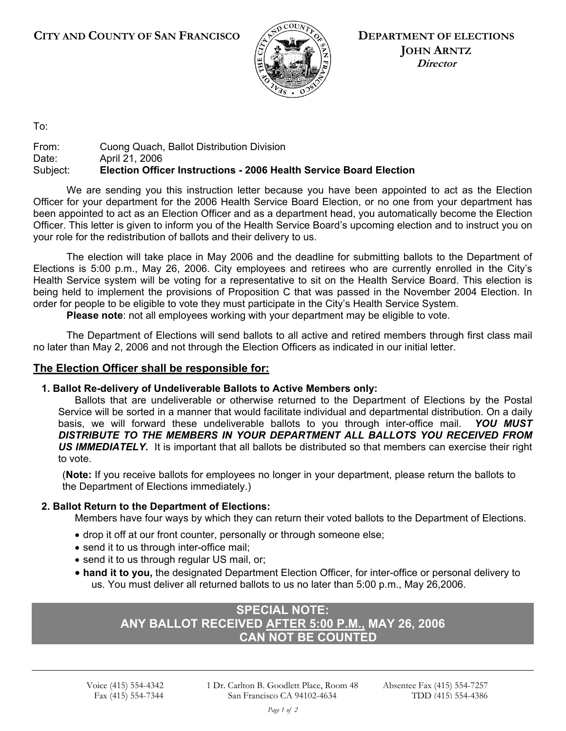

**DEPARTMENT OF ELECTIONS JOHN ARNTZ Director** 

To:

#### From: Cuong Quach, Ballot Distribution Division Date: April 21, 2006 Subject: **Election Officer Instructions - 2006 Health Service Board Election**

We are sending you this instruction letter because you have been appointed to act as the Election Officer for your department for the 2006 Health Service Board Election, or no one from your department has been appointed to act as an Election Officer and as a department head, you automatically become the Election Officer. This letter is given to inform you of the Health Service Board's upcoming election and to instruct you on your role for the redistribution of ballots and their delivery to us.

The election will take place in May 2006 and the deadline for submitting ballots to the Department of Elections is 5:00 p.m., May 26, 2006. City employees and retirees who are currently enrolled in the City's Health Service system will be voting for a representative to sit on the Health Service Board. This election is being held to implement the provisions of Proposition C that was passed in the November 2004 Election. In order for people to be eligible to vote they must participate in the City's Health Service System.

**Please note**: not all employees working with your department may be eligible to vote.

The Department of Elections will send ballots to all active and retired members through first class mail no later than May 2, 2006 and not through the Election Officers as indicated in our initial letter.

## **The Election Officer shall be responsible for:**

## **1. Ballot Re-delivery of Undeliverable Ballots to Active Members only:**

Ballots that are undeliverable or otherwise returned to the Department of Elections by the Postal Service will be sorted in a manner that would facilitate individual and departmental distribution. On a daily basis, we will forward these undeliverable ballots to you through inter-office mail. *YOU MUST*  DISTRIBUTE TO THE MEMBERS IN YOUR DEPARTMENT ALL BALLOTS YOU RECEIVED FROM *US IMMEDIATELY.* It is important that all ballots be distributed so that members can exercise their right to vote.

(**Note:** If you receive ballots for employees no longer in your department, please return the ballots to the Department of Elections immediately.)

### **2. Ballot Return to the Department of Elections:**

Members have four ways by which they can return their voted ballots to the Department of Elections.

- drop it off at our front counter, personally or through someone else;
- send it to us through inter-office mail;
- send it to us through regular US mail, or;
- **hand it to you,** the designated Department Election Officer, for inter-office or personal delivery to us. You must deliver all returned ballots to us no later than 5:00 p.m., May 26,2006.

# **SPECIAL NOTE: ANY BALLOT RECEIVED AFTER 5:00 P.M., MAY 26, 2006 CAN NOT BE COUNTED**